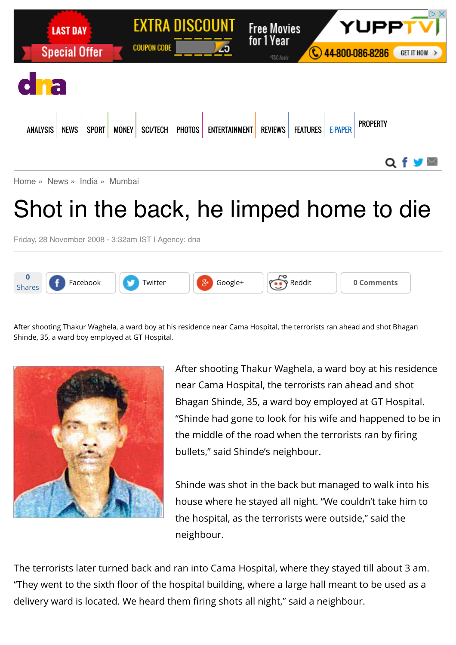

## Shot in the back, he limped home to die

Friday, 28 November 2008 - 3:32am IST | Agency: dna



After shooting Thakur Waghela, a ward boy at his residence near Cama Hospital, the terrorists ran ahead and shot Bhagan Shinde, 35, a ward boy employed at GT Hospital.



After shooting Thakur Waghela, a ward boy at his residence near Cama Hospital, the terrorists ran ahead and shot Bhagan Shinde, 35, a ward boy employed at GT Hospital. "Shinde had gone to look for his wife and happened to be in the middle of the road when the terrorists ran by firing bullets," said Shinde's neighbour.

Shinde was shot in the back but managed to walk into his house where he stayed all night. "We couldn't take him to the hospital, as the terrorists were outside," said the neighbour.

The terrorists later turned back and ran into Cama Hospital, where they stayed till about 3 am. "They went to the sixth floor of the hospital building, where a large hall meant to be used as a delivery ward is located. We heard them firing shots all night," said a neighbour.